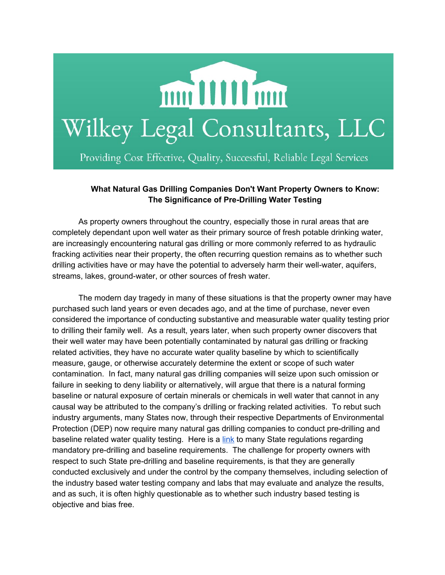

Providing Cost Effective, Quality, Successful, Reliable Legal Services

## **What Natural Gas Drilling Companies Don't Want Property Owners to Know: The Significance of PreDrilling Water Testing**

As property owners throughout the country, especially those in rural areas that are completely dependant upon well water as their primary source of fresh potable drinking water, are increasingly encountering natural gas drilling or more commonly referred to as hydraulic fracking activities near their property, the often recurring question remains as to whether such drilling activities have or may have the potential to adversely harm their well-water, aquifers, streams, lakes, ground-water, or other sources of fresh water.

The modern day tragedy in many of these situations is that the property owner may have purchased such land years or even decades ago, and at the time of purchase, never even considered the importance of conducting substantive and measurable water quality testing prior to drilling their family well. As a result, years later, when such property owner discovers that their well water may have been potentially contaminated by natural gas drilling or fracking related activities, they have no accurate water quality baseline by which to scientifically measure, gauge, or otherwise accurately determine the extent or scope of such water contamination. In fact, many natural gas drilling companies will seize upon such omission or failure in seeking to deny liability or alternatively, will argue that there is a natural forming baseline or natural exposure of certain minerals or chemicals in well water that cannot in any causal way be attributed to the company's drilling or fracking related activities. To rebut such industry arguments, many States now, through their respective Departments of Environmental Protection (DEP) now require many natural gas drilling companies to conduct pre-drilling and baseline related water quality testing. Here is a [link](http://www.alsglobal.com/en/Our-Services/Life-Sciences/Environmental/Capabilities/North-America-Capabilities/USA/Oil-and-Gasoline-Testing/Oil-and-Gas-Production-and-Midstream-Support/Fracking-Regulations-by-State) to many State regulations regarding mandatory pre-drilling and baseline requirements. The challenge for property owners with respect to such State pre-drilling and baseline requirements, is that they are generally conducted exclusively and under the control by the company themselves, including selection of the industry based water testing company and labs that may evaluate and analyze the results, and as such, it is often highly questionable as to whether such industry based testing is objective and bias free.